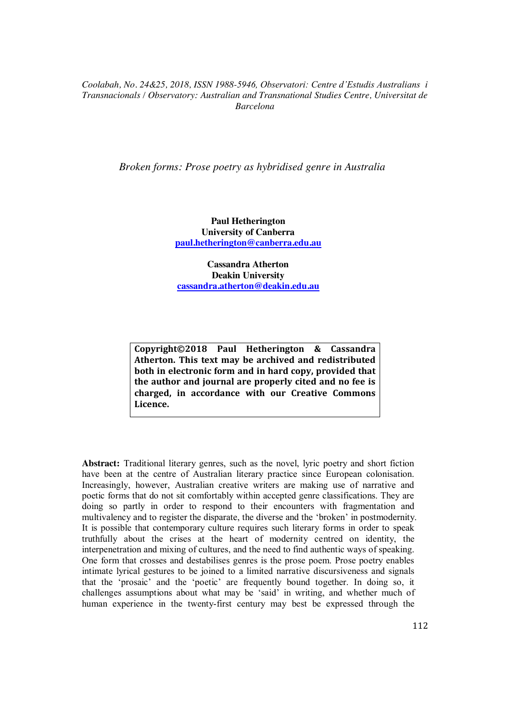*Broken forms: Prose poetry as hybridised genre in Australia*

**Paul Hetherington University of Canberra paul.hetherington@canberra.edu.au**

**Cassandra Atherton Deakin University cassandra.atherton@deakin.edu.au**

**Copyright©2018 Paul Hetherington & Cassandra Atherton. This text may be archived and redistributed both in electronic form and in hard copy, provided that the author and journal are properly cited and no fee is charged, in accordance with our Creative Commons Licence.**

**Abstract:** Traditional literary genres, such as the novel, lyric poetry and short fiction have been at the centre of Australian literary practice since European colonisation. Increasingly, however, Australian creative writers are making use of narrative and poetic forms that do not sit comfortably within accepted genre classifications. They are doing so partly in order to respond to their encounters with fragmentation and multivalency and to register the disparate, the diverse and the 'broken' in postmodernity. It is possible that contemporary culture requires such literary forms in order to speak truthfully about the crises at the heart of modernity centred on identity, the interpenetration and mixing of cultures, and the need to find authentic ways of speaking. One form that crosses and destabilises genres is the prose poem. Prose poetry enables intimate lyrical gestures to be joined to a limited narrative discursiveness and signals that the 'prosaic' and the 'poetic' are frequently bound together. In doing so, it challenges assumptions about what may be 'said' in writing, and whether much of human experience in the twenty-first century may best be expressed through the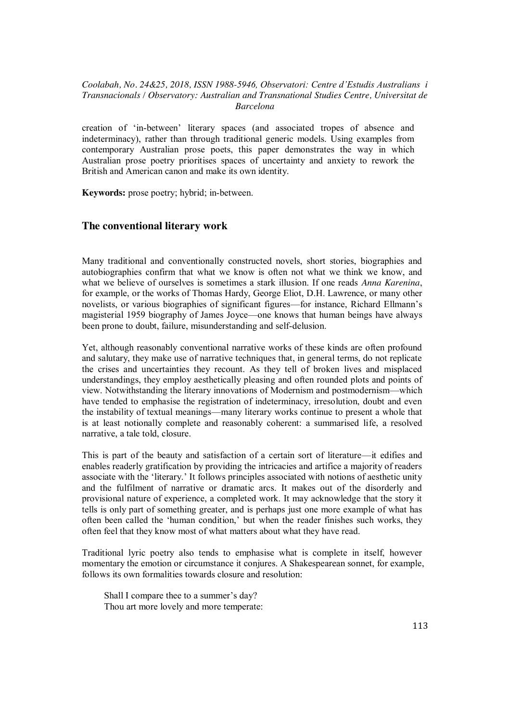creation of 'in-between' literary spaces (and associated tropes of absence and indeterminacy), rather than through traditional generic models. Using examples from contemporary Australian prose poets, this paper demonstrates the way in which Australian prose poetry prioritises spaces of uncertainty and anxiety to rework the British and American canon and make its own identity.

**Keywords:** prose poetry; hybrid; in-between.

## **The conventional literary work**

Many traditional and conventionally constructed novels, short stories, biographies and autobiographies confirm that what we know is often not what we think we know, and what we believe of ourselves is sometimes a stark illusion. If one reads *Anna Karenina*, for example, or the works of Thomas Hardy, George Eliot, D.H. Lawrence, or many other novelists, or various biographies of significant figures—for instance, Richard Ellmann's magisterial 1959 biography of James Joyce—one knows that human beings have always been prone to doubt, failure, misunderstanding and self-delusion.

Yet, although reasonably conventional narrative works of these kinds are often profound and salutary, they make use of narrative techniques that, in general terms, do not replicate the crises and uncertainties they recount. As they tell of broken lives and misplaced understandings, they employ aesthetically pleasing and often rounded plots and points of view. Notwithstanding the literary innovations of Modernism and postmodernism—which have tended to emphasise the registration of indeterminacy, irresolution, doubt and even the instability of textual meanings—many literary works continue to present a whole that is at least notionally complete and reasonably coherent: a summarised life, a resolved narrative, a tale told, closure.

This is part of the beauty and satisfaction of a certain sort of literature—it edifies and enables readerly gratification by providing the intricacies and artifice a majority of readers associate with the 'literary.' It follows principles associated with notions of aesthetic unity and the fulfilment of narrative or dramatic arcs. It makes out of the disorderly and provisional nature of experience, a completed work. It may acknowledge that the story it tells is only part of something greater, and is perhaps just one more example of what has often been called the 'human condition,' but when the reader finishes such works, they often feel that they know most of what matters about what they have read.

Traditional lyric poetry also tends to emphasise what is complete in itself, however momentary the emotion or circumstance it conjures. A Shakespearean sonnet, for example, follows its own formalities towards closure and resolution:

Shall I compare thee to a summer's day? Thou art more lovely and more temperate: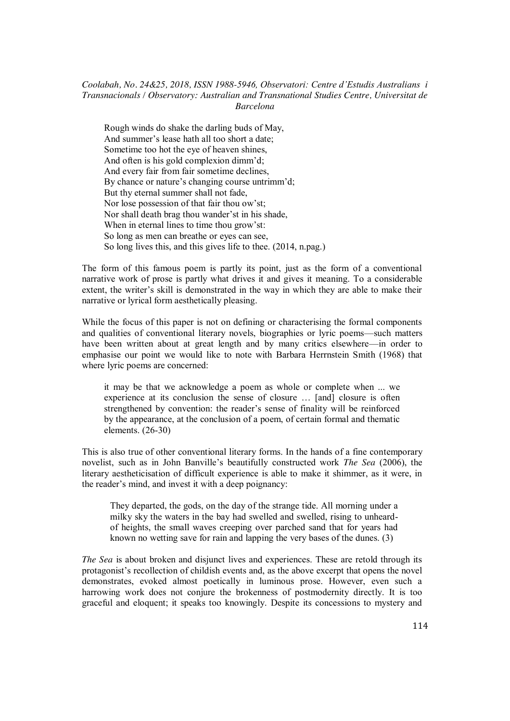Rough winds do shake the darling buds of May, And summer's lease hath all too short a date; Sometime too hot the eye of heaven shines, And often is his gold complexion dimm'd; And every fair from fair sometime declines, By chance or nature's changing course untrimm'd; But thy eternal summer shall not fade, Nor lose possession of that fair thou ow'st; Nor shall death brag thou wander'st in his shade, When in eternal lines to time thou grow'st: So long as men can breathe or eyes can see, So long lives this, and this gives life to thee. (2014, n.pag.)

The form of this famous poem is partly its point, just as the form of a conventional narrative work of prose is partly what drives it and gives it meaning. To a considerable extent, the writer's skill is demonstrated in the way in which they are able to make their narrative or lyrical form aesthetically pleasing.

While the focus of this paper is not on defining or characterising the formal components and qualities of conventional literary novels, biographies or lyric poems—such matters have been written about at great length and by many critics elsewhere—in order to emphasise our point we would like to note with Barbara Herrnstein Smith (1968) that where lyric poems are concerned:

it may be that we acknowledge a poem as whole or complete when ... we experience at its conclusion the sense of closure … [and] closure is often strengthened by convention: the reader's sense of finality will be reinforced by the appearance, at the conclusion of a poem, of certain formal and thematic elements. (26-30)

This is also true of other conventional literary forms. In the hands of a fine contemporary novelist, such as in John Banville's beautifully constructed work *The Sea* (2006), the literary aestheticisation of difficult experience is able to make it shimmer, as it were, in the reader's mind, and invest it with a deep poignancy:

They departed, the gods, on the day of the strange tide. All morning under a milky sky the waters in the bay had swelled and swelled, rising to unheardof heights, the small waves creeping over parched sand that for years had known no wetting save for rain and lapping the very bases of the dunes. (3)

*The Sea* is about broken and disjunct lives and experiences. These are retold through its protagonist's recollection of childish events and, as the above excerpt that opens the novel demonstrates, evoked almost poetically in luminous prose. However, even such a harrowing work does not conjure the brokenness of postmodernity directly. It is too graceful and eloquent; it speaks too knowingly. Despite its concessions to mystery and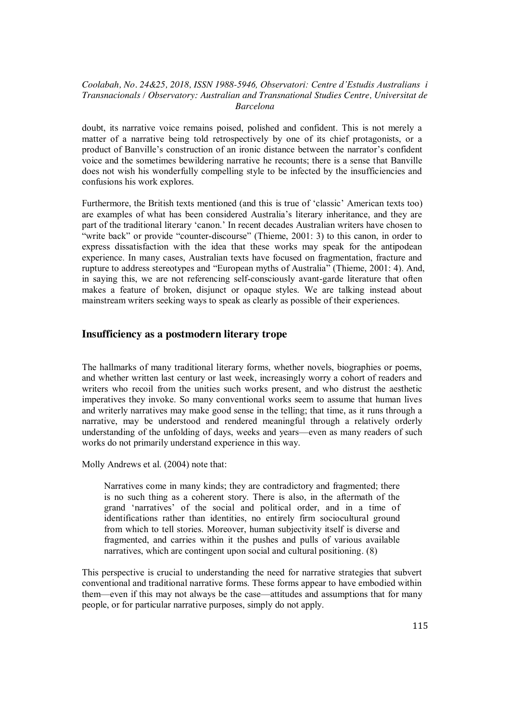doubt, its narrative voice remains poised, polished and confident. This is not merely a matter of a narrative being told retrospectively by one of its chief protagonists, or a product of Banville's construction of an ironic distance between the narrator's confident voice and the sometimes bewildering narrative he recounts; there is a sense that Banville does not wish his wonderfully compelling style to be infected by the insufficiencies and confusions his work explores.

Furthermore, the British texts mentioned (and this is true of 'classic' American texts too) are examples of what has been considered Australia's literary inheritance, and they are part of the traditional literary 'canon.' In recent decades Australian writers have chosen to "write back" or provide "counter-discourse" (Thieme, 2001: 3) to this canon, in order to express dissatisfaction with the idea that these works may speak for the antipodean experience. In many cases, Australian texts have focused on fragmentation, fracture and rupture to address stereotypes and "European myths of Australia" (Thieme, 2001: 4). And, in saying this, we are not referencing self-consciously avant-garde literature that often makes a feature of broken, disjunct or opaque styles. We are talking instead about mainstream writers seeking ways to speak as clearly as possible of their experiences.

# **Insufficiency as a postmodern literary trope**

The hallmarks of many traditional literary forms, whether novels, biographies or poems, and whether written last century or last week, increasingly worry a cohort of readers and writers who recoil from the unities such works present, and who distrust the aesthetic imperatives they invoke. So many conventional works seem to assume that human lives and writerly narratives may make good sense in the telling; that time, as it runs through a narrative, may be understood and rendered meaningful through a relatively orderly understanding of the unfolding of days, weeks and years—even as many readers of such works do not primarily understand experience in this way.

Molly Andrews et al. (2004) note that:

Narratives come in many kinds; they are contradictory and fragmented; there is no such thing as a coherent story. There is also, in the aftermath of the grand 'narratives' of the social and political order, and in a time of identifications rather than identities, no entirely firm sociocultural ground from which to tell stories. Moreover, human subjectivity itself is diverse and fragmented, and carries within it the pushes and pulls of various available narratives, which are contingent upon social and cultural positioning. (8)

This perspective is crucial to understanding the need for narrative strategies that subvert conventional and traditional narrative forms. These forms appear to have embodied within them—even if this may not always be the case—attitudes and assumptions that for many people, or for particular narrative purposes, simply do not apply.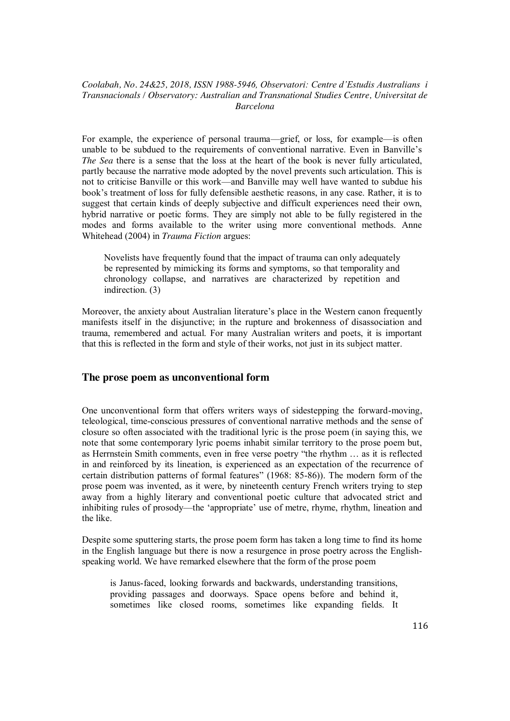For example, the experience of personal trauma—grief, or loss, for example—is often unable to be subdued to the requirements of conventional narrative. Even in Banville's *The Sea* there is a sense that the loss at the heart of the book is never fully articulated, partly because the narrative mode adopted by the novel prevents such articulation. This is not to criticise Banville or this work—and Banville may well have wanted to subdue his book's treatment of loss for fully defensible aesthetic reasons, in any case. Rather, it is to suggest that certain kinds of deeply subjective and difficult experiences need their own, hybrid narrative or poetic forms. They are simply not able to be fully registered in the modes and forms available to the writer using more conventional methods. Anne Whitehead (2004) in *Trauma Fiction* argues:

Novelists have frequently found that the impact of trauma can only adequately be represented by mimicking its forms and symptoms, so that temporality and chronology collapse, and narratives are characterized by repetition and indirection. (3)

Moreover, the anxiety about Australian literature's place in the Western canon frequently manifests itself in the disjunctive; in the rupture and brokenness of disassociation and trauma, remembered and actual. For many Australian writers and poets, it is important that this is reflected in the form and style of their works, not just in its subject matter.

## **The prose poem as unconventional form**

One unconventional form that offers writers ways of sidestepping the forward-moving, teleological, time-conscious pressures of conventional narrative methods and the sense of closure so often associated with the traditional lyric is the prose poem (in saying this, we note that some contemporary lyric poems inhabit similar territory to the prose poem but, as Herrnstein Smith comments, even in free verse poetry "the rhythm … as it is reflected in and reinforced by its lineation, is experienced as an expectation of the recurrence of certain distribution patterns of formal features" (1968: 85-86)). The modern form of the prose poem was invented, as it were, by nineteenth century French writers trying to step away from a highly literary and conventional poetic culture that advocated strict and inhibiting rules of prosody—the 'appropriate' use of metre, rhyme, rhythm, lineation and the like.

Despite some sputtering starts, the prose poem form has taken a long time to find its home in the English language but there is now a resurgence in prose poetry across the Englishspeaking world. We have remarked elsewhere that the form of the prose poem

is Janus-faced, looking forwards and backwards, understanding transitions, providing passages and doorways. Space opens before and behind it, sometimes like closed rooms, sometimes like expanding fields. It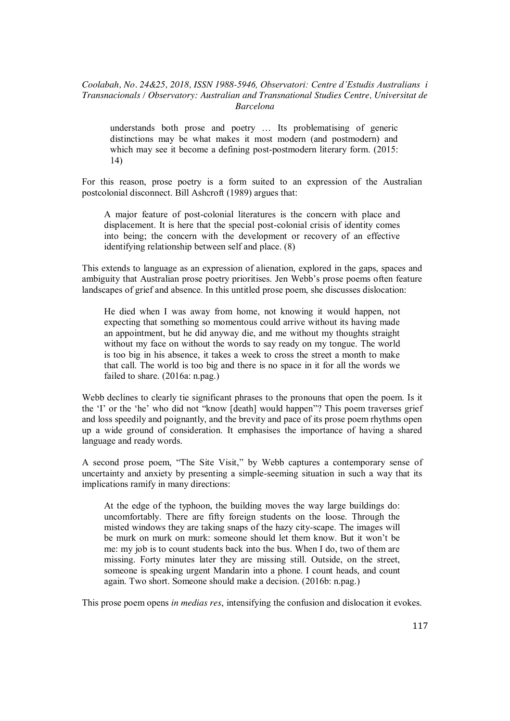understands both prose and poetry … Its problematising of generic distinctions may be what makes it most modern (and postmodern) and which may see it become a defining post-postmodern literary form. (2015: 14)

For this reason, prose poetry is a form suited to an expression of the Australian postcolonial disconnect. Bill Ashcroft (1989) argues that:

A major feature of post-colonial literatures is the concern with place and displacement. It is here that the special post-colonial crisis of identity comes into being; the concern with the development or recovery of an effective identifying relationship between self and place. (8)

This extends to language as an expression of alienation, explored in the gaps, spaces and ambiguity that Australian prose poetry prioritises. Jen Webb's prose poems often feature landscapes of grief and absence. In this untitled prose poem, she discusses dislocation:

He died when I was away from home, not knowing it would happen, not expecting that something so momentous could arrive without its having made an appointment, but he did anyway die, and me without my thoughts straight without my face on without the words to say ready on my tongue. The world is too big in his absence, it takes a week to cross the street a month to make that call. The world is too big and there is no space in it for all the words we failed to share. (2016a: n.pag.)

Webb declines to clearly tie significant phrases to the pronouns that open the poem. Is it the 'I' or the 'he' who did not "know [death] would happen"? This poem traverses grief and loss speedily and poignantly, and the brevity and pace of its prose poem rhythms open up a wide ground of consideration. It emphasises the importance of having a shared language and ready words.

A second prose poem, "The Site Visit," by Webb captures a contemporary sense of uncertainty and anxiety by presenting a simple-seeming situation in such a way that its implications ramify in many directions:

At the edge of the typhoon, the building moves the way large buildings do: uncomfortably. There are fifty foreign students on the loose. Through the misted windows they are taking snaps of the hazy city-scape. The images will be murk on murk on murk: someone should let them know. But it won't be me: my job is to count students back into the bus. When I do, two of them are missing. Forty minutes later they are missing still. Outside, on the street, someone is speaking urgent Mandarin into a phone. I count heads, and count again. Two short. Someone should make a decision. (2016b: n.pag.)

This prose poem opens *in medias res*, intensifying the confusion and dislocation it evokes.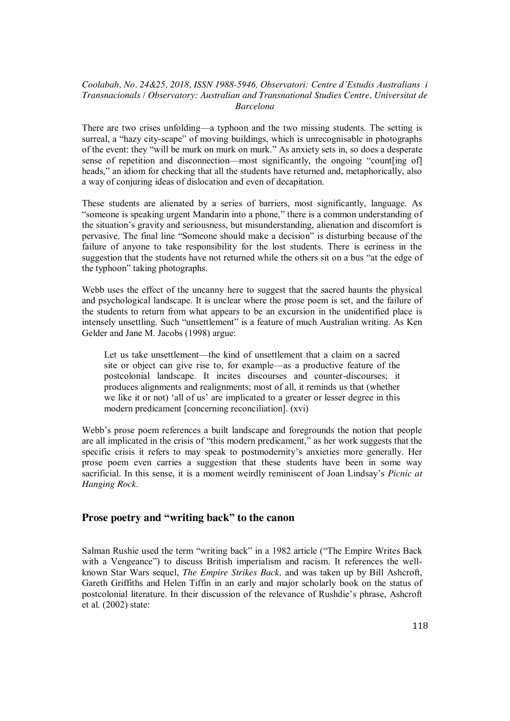There are two crises unfolding—a typhoon and the two missing students. The setting is surreal, a "hazy city-scape" of moving buildings, which is unrecognisable in photographs of the event: they "will be murk on murk on murk." As anxiety sets in, so does a desperate sense of repetition and disconnection—most significantly, the ongoing "count[ing of] heads," an idiom for checking that all the students have returned and, metaphorically, also a way of conjuring ideas of dislocation and even of decapitation.

These students are alienated by a series of barriers, most significantly, language. As "someone is speaking urgent Mandarin into a phone," there is a common understanding of the situation's gravity and seriousness, but misunderstanding, alienation and discomfort is pervasive. The final line "Someone should make a decision" is disturbing because of the failure of anyone to take responsibility for the lost students. There is eeriness in the suggestion that the students have not returned while the others sit on a bus "at the edge of the typhoon" taking photographs.

Webb uses the effect of the uncanny here to suggest that the sacred haunts the physical and psychological landscape. It is unclear where the prose poem is set, and the failure of the students to return from what appears to be an excursion in the unidentified place is intensely unsettling. Such "unsettlement" is a feature of much Australian writing. As Ken Gelder and Jane M. Jacobs (1998) argue:

Let us take unsettlement—the kind of unsettlement that a claim on a sacred site or object can give rise to, for example—as a productive feature of the postcolonial landscape. It incites discourses and counter-discourses; it produces alignments and realignments; most of all, it reminds us that (whether we like it or not) 'all of us' are implicated to a greater or lesser degree in this modern predicament [concerning reconciliation]. (xvi)

Webb's prose poem references a built landscape and foregrounds the notion that people are all implicated in the crisis of "this modern predicament," as her work suggests that the specific crisis it refers to may speak to postmodernity's anxieties more generally. Her prose poem even carries a suggestion that these students have been in some way sacrificial. In this sense, it is a moment weirdly reminiscent of Joan Lindsay's *Picnic at Hanging Rock*.

## **Prose poetry and "writing back" to the canon**

Salman Rushie used the term "writing back" in a 1982 article ("The Empire Writes Back with a Vengeance") to discuss British imperialism and racism. It references the wellknown Star Wars sequel, *The Empire Strikes Back,* and was taken up by Bill Ashcroft, Gareth Griffiths and Helen Tiffin in an early and major scholarly book on the status of postcolonial literature. In their discussion of the relevance of Rushdie's phrase, Ashcroft et al. (2002) state: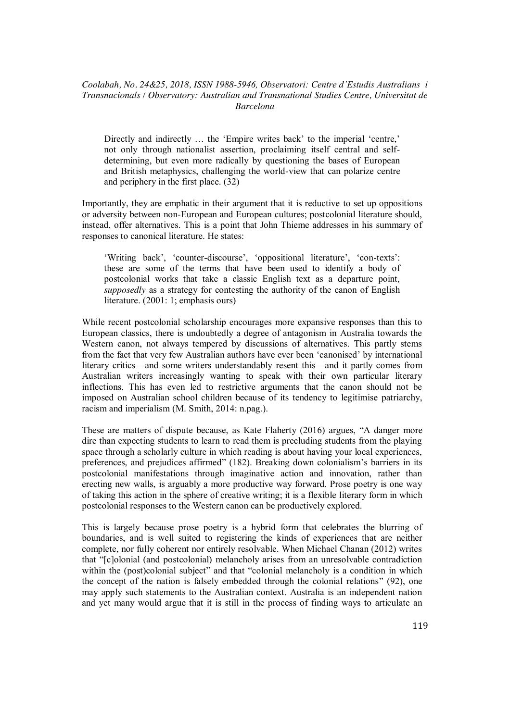Directly and indirectly ... the 'Empire writes back' to the imperial 'centre,' not only through nationalist assertion, proclaiming itself central and selfdetermining, but even more radically by questioning the bases of European and British metaphysics, challenging the world-view that can polarize centre and periphery in the first place. (32)

Importantly, they are emphatic in their argument that it is reductive to set up oppositions or adversity between non-European and European cultures; postcolonial literature should, instead, offer alternatives. This is a point that John Thieme addresses in his summary of responses to canonical literature. He states:

'Writing back', 'counter-discourse', 'oppositional literature', 'con-texts': these are some of the terms that have been used to identify a body of postcolonial works that take a classic English text as a departure point, *supposedly* as a strategy for contesting the authority of the canon of English literature. (2001: 1; emphasis ours)

While recent postcolonial scholarship encourages more expansive responses than this to European classics, there is undoubtedly a degree of antagonism in Australia towards the Western canon, not always tempered by discussions of alternatives. This partly stems from the fact that very few Australian authors have ever been 'canonised' by international literary critics—and some writers understandably resent this—and it partly comes from Australian writers increasingly wanting to speak with their own particular literary inflections. This has even led to restrictive arguments that the canon should not be imposed on Australian school children because of its tendency to legitimise patriarchy, racism and imperialism (M. Smith, 2014: n.pag.).

These are matters of dispute because, as Kate Flaherty (2016) argues, "A danger more dire than expecting students to learn to read them is precluding students from the playing space through a scholarly culture in which reading is about having your local experiences, preferences, and prejudices affirmed" (182). Breaking down colonialism's barriers in its postcolonial manifestations through imaginative action and innovation, rather than erecting new walls, is arguably a more productive way forward. Prose poetry is one way of taking this action in the sphere of creative writing; it is a flexible literary form in which postcolonial responses to the Western canon can be productively explored.

This is largely because prose poetry is a hybrid form that celebrates the blurring of boundaries, and is well suited to registering the kinds of experiences that are neither complete, nor fully coherent nor entirely resolvable. When Michael Chanan (2012) writes that "[c]olonial (and postcolonial) melancholy arises from an unresolvable contradiction within the (post)colonial subject" and that "colonial melancholy is a condition in which the concept of the nation is falsely embedded through the colonial relations" (92), one may apply such statements to the Australian context. Australia is an independent nation and yet many would argue that it is still in the process of finding ways to articulate an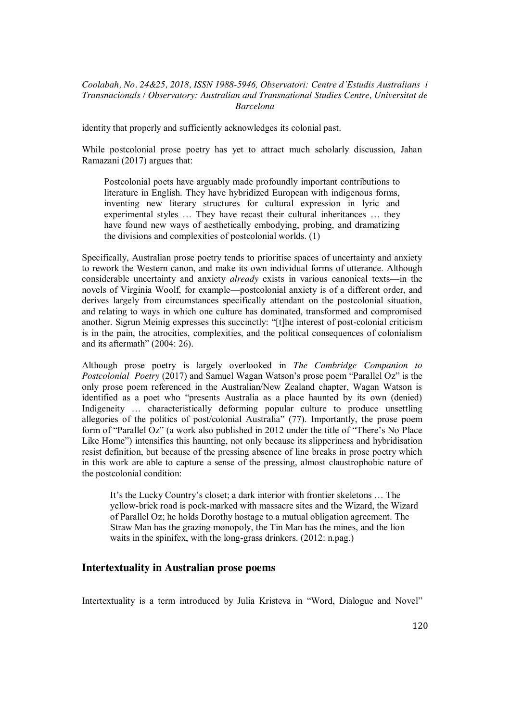identity that properly and sufficiently acknowledges its colonial past.

While postcolonial prose poetry has yet to attract much scholarly discussion, Jahan Ramazani (2017) argues that:

Postcolonial poets have arguably made profoundly important contributions to literature in English. They have hybridized European with indigenous forms, inventing new literary structures for cultural expression in lyric and experimental styles … They have recast their cultural inheritances … they have found new ways of aesthetically embodying, probing, and dramatizing the divisions and complexities of postcolonial worlds. (1)

Specifically, Australian prose poetry tends to prioritise spaces of uncertainty and anxiety to rework the Western canon, and make its own individual forms of utterance. Although considerable uncertainty and anxiety *already* exists in various canonical texts—in the novels of Virginia Woolf, for example—postcolonial anxiety is of a different order, and derives largely from circumstances specifically attendant on the postcolonial situation, and relating to ways in which one culture has dominated, transformed and compromised another. Sigrun Meinig expresses this succinctly: "[t]he interest of post-colonial criticism is in the pain, the atrocities, complexities, and the political consequences of colonialism and its aftermath" (2004: 26).

Although prose poetry is largely overlooked in *The Cambridge Companion to Postcolonial Poetry* (2017) and Samuel Wagan Watson's prose poem "Parallel Oz" is the only prose poem referenced in the Australian/New Zealand chapter, Wagan Watson is identified as a poet who "presents Australia as a place haunted by its own (denied) Indigeneity … characteristically deforming popular culture to produce unsettling allegories of the politics of post/colonial Australia" (77). Importantly, the prose poem form of "Parallel Oz" (a work also published in 2012 under the title of "There's No Place Like Home") intensifies this haunting, not only because its slipperiness and hybridisation resist definition, but because of the pressing absence of line breaks in prose poetry which in this work are able to capture a sense of the pressing, almost claustrophobic nature of the postcolonial condition:

It's the Lucky Country's closet; a dark interior with frontier skeletons … The yellow-brick road is pock-marked with massacre sites and the Wizard, the Wizard of Parallel Oz; he holds Dorothy hostage to a mutual obligation agreement. The Straw Man has the grazing monopoly, the Tin Man has the mines, and the lion waits in the spinifex, with the long-grass drinkers. (2012: n.pag.)

# **Intertextuality in Australian prose poems**

Intertextuality is a term introduced by Julia Kristeva in "Word, Dialogue and Novel"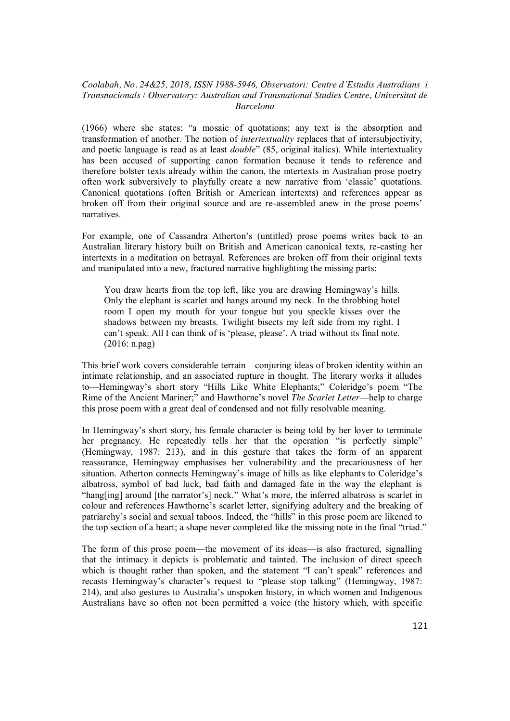(1966) where she states: "a mosaic of quotations; any text is the absorption and transformation of another. The notion of *intertextuality* replaces that of intersubjectivity, and poetic language is read as at least *double*" (85, original italics). While intertextuality has been accused of supporting canon formation because it tends to reference and therefore bolster texts already within the canon, the intertexts in Australian prose poetry often work subversively to playfully create a new narrative from 'classic' quotations. Canonical quotations (often British or American intertexts) and references appear as broken off from their original source and are re-assembled anew in the prose poems' narratives.

For example, one of Cassandra Atherton's (untitled) prose poems writes back to an Australian literary history built on British and American canonical texts, re-casting her intertexts in a meditation on betrayal. References are broken off from their original texts and manipulated into a new, fractured narrative highlighting the missing parts:

You draw hearts from the top left, like you are drawing Hemingway's hills. Only the elephant is scarlet and hangs around my neck. In the throbbing hotel room I open my mouth for your tongue but you speckle kisses over the shadows between my breasts. Twilight bisects my left side from my right. I can't speak. All I can think of is 'please, please'. A triad without its final note. (2016: n.pag)

This brief work covers considerable terrain—conjuring ideas of broken identity within an intimate relationship, and an associated rupture in thought. The literary works it alludes to—Hemingway's short story "Hills Like White Elephants;" Coleridge's poem "The Rime of the Ancient Mariner;" and Hawthorne's novel *The Scarlet Letter*—help to charge this prose poem with a great deal of condensed and not fully resolvable meaning.

In Hemingway's short story, his female character is being told by her lover to terminate her pregnancy. He repeatedly tells her that the operation "is perfectly simple" (Hemingway, 1987: 213), and in this gesture that takes the form of an apparent reassurance, Hemingway emphasises her vulnerability and the precariousness of her situation. Atherton connects Hemingway's image of hills as like elephants to Coleridge's albatross, symbol of bad luck, bad faith and damaged fate in the way the elephant is "hang[ing] around [the narrator's] neck." What's more, the inferred albatross is scarlet in colour and references Hawthorne's scarlet letter, signifying adultery and the breaking of patriarchy's social and sexual taboos. Indeed, the "hills" in this prose poem are likened to the top section of a heart; a shape never completed like the missing note in the final "triad."

The form of this prose poem—the movement of its ideas—is also fractured, signalling that the intimacy it depicts is problematic and tainted. The inclusion of direct speech which is thought rather than spoken, and the statement "I can't speak" references and recasts Hemingway's character's request to "please stop talking" (Hemingway, 1987: 214), and also gestures to Australia's unspoken history, in which women and Indigenous Australians have so often not been permitted a voice (the history which, with specific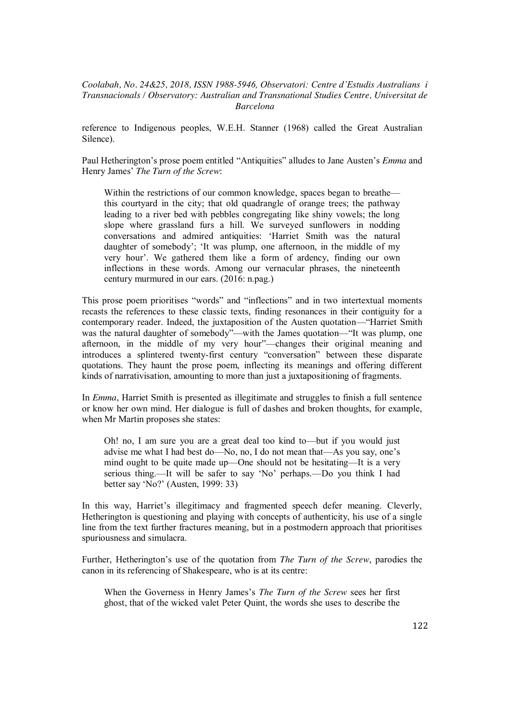reference to Indigenous peoples, W.E.H. Stanner (1968) called the Great Australian Silence).

Paul Hetherington's prose poem entitled "Antiquities" alludes to Jane Austen's *Emma* and Henry James' *The Turn of the Screw*:

Within the restrictions of our common knowledge, spaces began to breathe this courtyard in the city; that old quadrangle of orange trees; the pathway leading to a river bed with pebbles congregating like shiny vowels; the long slope where grassland furs a hill. We surveyed sunflowers in nodding conversations and admired antiquities: 'Harriet Smith was the natural daughter of somebody'; 'It was plump, one afternoon, in the middle of my very hour'. We gathered them like a form of ardency, finding our own inflections in these words. Among our vernacular phrases, the nineteenth century murmured in our ears. (2016: n.pag.)

This prose poem prioritises "words" and "inflections" and in two intertextual moments recasts the references to these classic texts, finding resonances in their contiguity for a contemporary reader. Indeed, the juxtaposition of the Austen quotation—"Harriet Smith was the natural daughter of somebody"—with the James quotation—"It was plump, one afternoon, in the middle of my very hour"—changes their original meaning and introduces a splintered twenty-first century "conversation" between these disparate quotations. They haunt the prose poem, inflecting its meanings and offering different kinds of narrativisation, amounting to more than just a juxtapositioning of fragments.

In *Emma*, Harriet Smith is presented as illegitimate and struggles to finish a full sentence or know her own mind. Her dialogue is full of dashes and broken thoughts, for example, when Mr Martin proposes she states:

Oh! no, I am sure you are a great deal too kind to—but if you would just advise me what I had best do—No, no, I do not mean that—As you say, one's mind ought to be quite made up—One should not be hesitating—It is a very serious thing.—It will be safer to say 'No' perhaps.—Do you think I had better say 'No?' (Austen, 1999: 33)

In this way, Harriet's illegitimacy and fragmented speech defer meaning. Cleverly, Hetherington is questioning and playing with concepts of authenticity, his use of a single line from the text further fractures meaning, but in a postmodern approach that prioritises spuriousness and simulacra.

Further, Hetherington's use of the quotation from *The Turn of the Screw*, parodies the canon in its referencing of Shakespeare, who is at its centre:

When the Governess in Henry James's *The Turn of the Screw* sees her first ghost, that of the wicked valet Peter Quint, the words she uses to describe the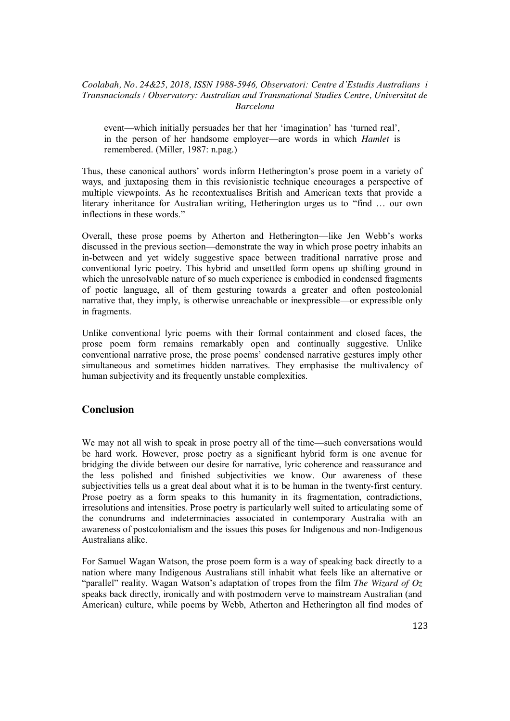event—which initially persuades her that her 'imagination' has 'turned real', in the person of her handsome employer—are words in which *Hamlet* is remembered. (Miller, 1987: n.pag.)

Thus, these canonical authors' words inform Hetherington's prose poem in a variety of ways, and juxtaposing them in this revisionistic technique encourages a perspective of multiple viewpoints. As he recontextualises British and American texts that provide a literary inheritance for Australian writing, Hetherington urges us to "find … our own inflections in these words."

Overall, these prose poems by Atherton and Hetherington—like Jen Webb's works discussed in the previous section—demonstrate the way in which prose poetry inhabits an in-between and yet widely suggestive space between traditional narrative prose and conventional lyric poetry. This hybrid and unsettled form opens up shifting ground in which the unresolvable nature of so much experience is embodied in condensed fragments of poetic language, all of them gesturing towards a greater and often postcolonial narrative that, they imply, is otherwise unreachable or inexpressible—or expressible only in fragments.

Unlike conventional lyric poems with their formal containment and closed faces, the prose poem form remains remarkably open and continually suggestive. Unlike conventional narrative prose, the prose poems' condensed narrative gestures imply other simultaneous and sometimes hidden narratives. They emphasise the multivalency of human subjectivity and its frequently unstable complexities.

# **Conclusion**

We may not all wish to speak in prose poetry all of the time—such conversations would be hard work. However, prose poetry as a significant hybrid form is one avenue for bridging the divide between our desire for narrative, lyric coherence and reassurance and the less polished and finished subjectivities we know. Our awareness of these subjectivities tells us a great deal about what it is to be human in the twenty-first century. Prose poetry as a form speaks to this humanity in its fragmentation, contradictions, irresolutions and intensities. Prose poetry is particularly well suited to articulating some of the conundrums and indeterminacies associated in contemporary Australia with an awareness of postcolonialism and the issues this poses for Indigenous and non-Indigenous Australians alike.

For Samuel Wagan Watson, the prose poem form is a way of speaking back directly to a nation where many Indigenous Australians still inhabit what feels like an alternative or "parallel" reality. Wagan Watson's adaptation of tropes from the film *The Wizard of Oz* speaks back directly, ironically and with postmodern verve to mainstream Australian (and American) culture, while poems by Webb, Atherton and Hetherington all find modes of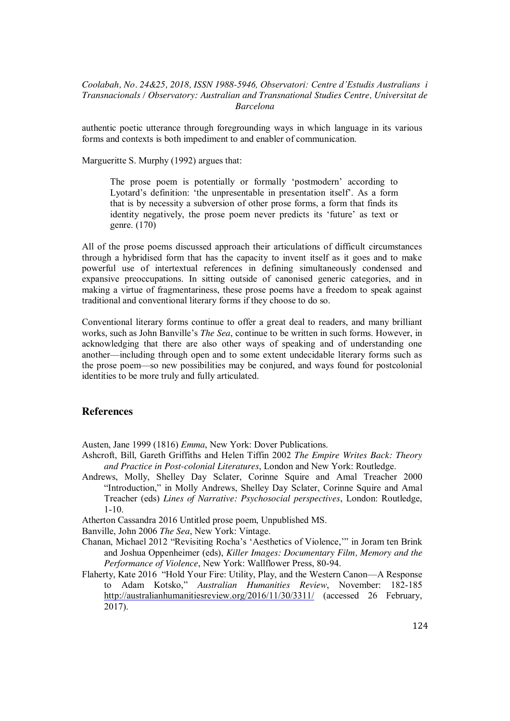authentic poetic utterance through foregrounding ways in which language in its various forms and contexts is both impediment to and enabler of communication.

Margueritte S. Murphy (1992) argues that:

The prose poem is potentially or formally 'postmodern' according to Lyotard's definition: 'the unpresentable in presentation itself'. As a form that is by necessity a subversion of other prose forms, a form that finds its identity negatively, the prose poem never predicts its 'future' as text or genre. (170)

All of the prose poems discussed approach their articulations of difficult circumstances through a hybridised form that has the capacity to invent itself as it goes and to make powerful use of intertextual references in defining simultaneously condensed and expansive preoccupations. In sitting outside of canonised generic categories, and in making a virtue of fragmentariness, these prose poems have a freedom to speak against traditional and conventional literary forms if they choose to do so.

Conventional literary forms continue to offer a great deal to readers, and many brilliant works, such as John Banville's *The Sea*, continue to be written in such forms. However, in acknowledging that there are also other ways of speaking and of understanding one another—including through open and to some extent undecidable literary forms such as the prose poem—so new possibilities may be conjured, and ways found for postcolonial identities to be more truly and fully articulated.

# **References**

Austen, Jane 1999 (1816) *Emma*, New York: Dover Publications.

- Ashcroft, Bill, Gareth Griffiths and Helen Tiffin 2002 *The Empire Writes Back: Theory and Practice in Post-colonial Literatures*, London and New York: Routledge.
- Andrews, Molly, Shelley Day Sclater, Corinne Squire and Amal Treacher 2000 "Introduction," in Molly Andrews, Shelley Day Sclater, Corinne Squire and Amal Treacher (eds) *Lines of Narrative: Psychosocial perspectives*, London: Routledge, 1-10.

Atherton Cassandra 2016 Untitled prose poem, Unpublished MS.

Banville, John 2006 *The Sea*, New York: Vintage.

- Chanan, Michael 2012 "Revisiting Rocha's 'Aesthetics of Violence,'" in Joram ten Brink and Joshua Oppenheimer (eds), *Killer Images: Documentary Film, Memory and the Performance of Violence*, New York: Wallflower Press, 80-94.
- Flaherty, Kate 2016 "Hold Your Fire: Utility, Play, and the Western Canon—A Response to Adam Kotsko," *Australian Humanities Review*, November: 182-185 http://australianhumanitiesreview.org/2016/11/30/3311/ (accessed 26 February, 2017).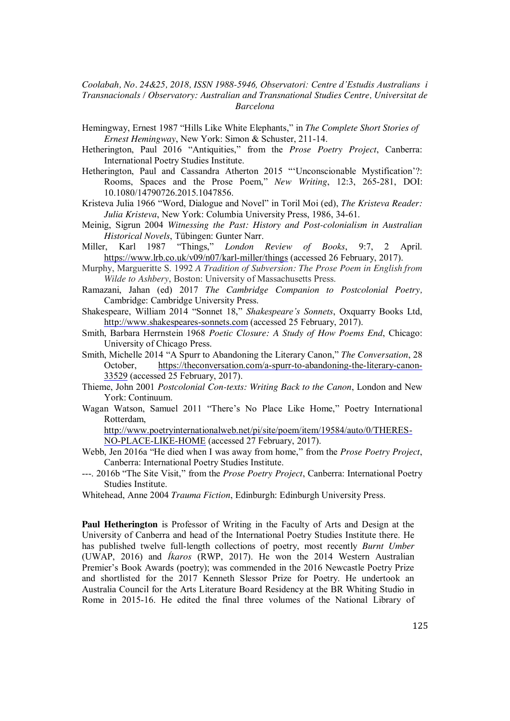- Hemingway, Ernest 1987 "Hills Like White Elephants," in *The Complete Short Stories of Ernest Hemingway*, New York: Simon & Schuster, 211-14.
- Hetherington, Paul 2016 "Antiquities," from the *Prose Poetry Project*, Canberra: International Poetry Studies Institute.
- Hetherington, Paul and Cassandra Atherton 2015 "'Unconscionable Mystification'?: Rooms, Spaces and the Prose Poem," *New Writing*, 12:3, 265-281, DOI: 10.1080/14790726.2015.1047856.
- Kristeva Julia 1966 "Word, Dialogue and Novel" in Toril Moi (ed), *The Kristeva Reader: Julia Kristeva*, New York: Columbia University Press, 1986, 34-61.
- Meinig, Sigrun 2004 *Witnessing the Past: History and Post-colonialism in Australian Historical Novels*, Tübingen: Gunter Narr.

Miller, Karl 1987 "Things," *London Review of Books*, 9:7, 2 April. https://www.lrb.co.uk/v09/n07/karl-miller/things (accessed 26 February, 2017).

- Murphy, Margueritte S. 1992 *A Tradition of Subversion: The Prose Poem in English from Wilde to Ashbery*, Boston: University of Massachusetts Press.
- Ramazani, Jahan (ed) 2017 *The Cambridge Companion to Postcolonial Poetry,*  Cambridge: Cambridge University Press.

Shakespeare, William 2014 "Sonnet 18," *Shakespeare's Sonnets*, Oxquarry Books Ltd, http://www.shakespeares-sonnets.com (accessed 25 February, 2017).

- Smith, Barbara Herrnstein 1968 *Poetic Closure: A Study of How Poems End*, Chicago: University of Chicago Press.
- Smith, Michelle 2014 "A Spurr to Abandoning the Literary Canon," *The Conversation*, 28 October, https://theconversation.com/a-spurr-to-abandoning-the-literary-canon-33529 (accessed 25 February, 2017).
- Thieme, John 2001 *Postcolonial Con-texts: Writing Back to the Canon*, London and New York: Continuum.
- Wagan Watson, Samuel 2011 "There's No Place Like Home," Poetry International Rotterdam,

http://www.poetryinternationalweb.net/pi/site/poem/item/19584/auto/0/THERES-NO-PLACE-LIKE-HOME (accessed 27 February, 2017).

- Webb, Jen 2016a "He died when I was away from home," from the *Prose Poetry Project*, Canberra: International Poetry Studies Institute.
- ---. 2016b "The Site Visit," from the *Prose Poetry Project*, Canberra: International Poetry Studies Institute.
- Whitehead, Anne 2004 *Trauma Fiction*, Edinburgh: Edinburgh University Press.

**Paul Hetherington** is Professor of Writing in the Faculty of Arts and Design at the University of Canberra and head of the International Poetry Studies Institute there. He has published twelve full-length collections of poetry, most recently *Burnt Umber*  (UWAP, 2016) and *Íkaros* (RWP, 2017). He won the 2014 Western Australian Premier's Book Awards (poetry); was commended in the 2016 Newcastle Poetry Prize and shortlisted for the 2017 Kenneth Slessor Prize for Poetry. He undertook an Australia Council for the Arts Literature Board Residency at the BR Whiting Studio in Rome in 2015-16. He edited the final three volumes of the National Library of